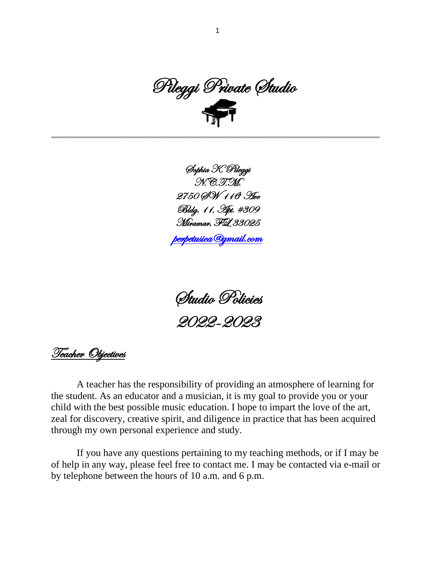Pileggi Private Studio 

\_\_\_\_\_\_\_\_\_\_\_\_\_\_\_\_\_\_\_\_\_\_\_\_\_\_\_\_\_\_\_\_\_\_\_\_\_\_\_\_\_\_\_\_\_\_\_\_\_\_\_\_\_\_\_\_\_\_\_\_\_\_\_\_\_\_

Sophia K. Pileggi N.C.T.M. 2750 QM 116° Ave Bldg. 11, Apt. #309 Miramar, FL 33025

[perpetusica@gmail.com](mailto:perpetusica@gmail.com) 

Studio Policies 2022-2023

Teacher Objectives

A teacher has the responsibility of providing an atmosphere of learning for the student. As an educator and a musician, it is my goal to provide you or your child with the best possible music education. I hope to impart the love of the art, zeal for discovery, creative spirit, and diligence in practice that has been acquired through my own personal experience and study.

If you have any questions pertaining to my teaching methods, or if I may be of help in any way, please feel free to contact me. I may be contacted via e-mail or by telephone between the hours of 10 a.m. and 6 p.m.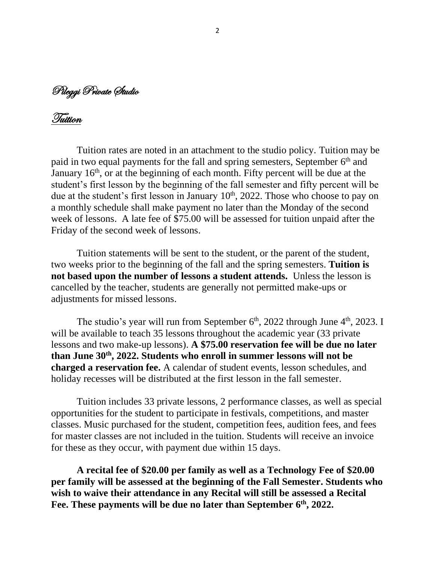Pileggi Private Studio

Tuition

Tuition rates are noted in an attachment to the studio policy. Tuition may be paid in two equal payments for the fall and spring semesters, September 6<sup>th</sup> and January 16<sup>th</sup>, or at the beginning of each month. Fifty percent will be due at the student's first lesson by the beginning of the fall semester and fifty percent will be due at the student's first lesson in January  $10<sup>th</sup>$ , 2022. Those who choose to pay on a monthly schedule shall make payment no later than the Monday of the second week of lessons. A late fee of \$75.00 will be assessed for tuition unpaid after the Friday of the second week of lessons.

Tuition statements will be sent to the student, or the parent of the student, two weeks prior to the beginning of the fall and the spring semesters. **Tuition is not based upon the number of lessons a student attends.** Unless the lesson is cancelled by the teacher, students are generally not permitted make-ups or adjustments for missed lessons.

The studio's year will run from September  $6<sup>th</sup>$ , 2022 through June  $4<sup>th</sup>$ , 2023. I will be available to teach 35 lessons throughout the academic year (33 private lessons and two make-up lessons). **A \$75.00 reservation fee will be due no later than June 30th, 2022. Students who enroll in summer lessons will not be charged a reservation fee.** A calendar of student events, lesson schedules, and holiday recesses will be distributed at the first lesson in the fall semester.

Tuition includes 33 private lessons, 2 performance classes, as well as special opportunities for the student to participate in festivals, competitions, and master classes. Music purchased for the student, competition fees, audition fees, and fees for master classes are not included in the tuition. Students will receive an invoice for these as they occur, with payment due within 15 days.

**A recital fee of \$20.00 per family as well as a Technology Fee of \$20.00 per family will be assessed at the beginning of the Fall Semester. Students who wish to waive their attendance in any Recital will still be assessed a Recital Fee. These payments will be due no later than September 6th, 2022.**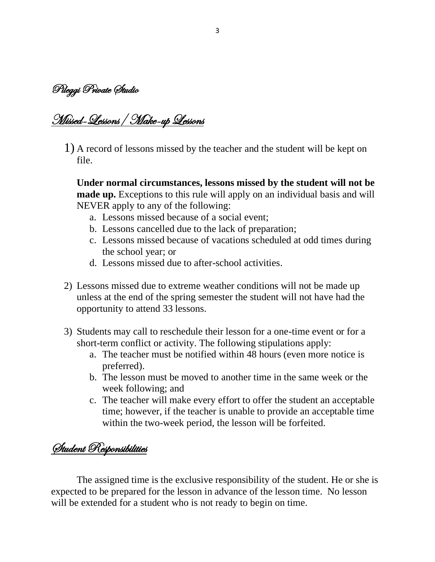Pileggi Private Studio

## Missed-Lessons/ Make-up Lessons

1) A record of lessons missed by the teacher and the student will be kept on file.

**Under normal circumstances, lessons missed by the student will not be made up.** Exceptions to this rule will apply on an individual basis and will NEVER apply to any of the following:

- a. Lessons missed because of a social event;
- b. Lessons cancelled due to the lack of preparation;
- c. Lessons missed because of vacations scheduled at odd times during the school year; or
- d. Lessons missed due to after-school activities.
- 2) Lessons missed due to extreme weather conditions will not be made up unless at the end of the spring semester the student will not have had the opportunity to attend 33 lessons.
- 3) Students may call to reschedule their lesson for a one-time event or for a short-term conflict or activity. The following stipulations apply:
	- a. The teacher must be notified within 48 hours (even more notice is preferred).
	- b. The lesson must be moved to another time in the same week or the week following; and
	- c. The teacher will make every effort to offer the student an acceptable time; however, if the teacher is unable to provide an acceptable time within the two-week period, the lesson will be forfeited.

Student Responsibilities

The assigned time is the exclusive responsibility of the student. He or she is expected to be prepared for the lesson in advance of the lesson time. No lesson will be extended for a student who is not ready to begin on time.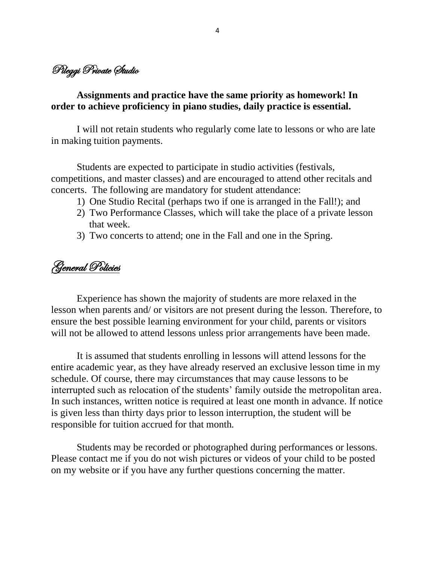## Pileggi Private Studio

## **Assignments and practice have the same priority as homework! In order to achieve proficiency in piano studies, daily practice is essential.**

I will not retain students who regularly come late to lessons or who are late in making tuition payments.

Students are expected to participate in studio activities (festivals, competitions, and master classes) and are encouraged to attend other recitals and concerts. The following are mandatory for student attendance:

- 1) One Studio Recital (perhaps two if one is arranged in the Fall!); and
- 2) Two Performance Classes, which will take the place of a private lesson that week.
- 3) Two concerts to attend; one in the Fall and one in the Spring.

General Policies

Experience has shown the majority of students are more relaxed in the lesson when parents and/ or visitors are not present during the lesson. Therefore, to ensure the best possible learning environment for your child, parents or visitors will not be allowed to attend lessons unless prior arrangements have been made.

It is assumed that students enrolling in lessons will attend lessons for the entire academic year, as they have already reserved an exclusive lesson time in my schedule. Of course, there may circumstances that may cause lessons to be interrupted such as relocation of the students' family outside the metropolitan area. In such instances, written notice is required at least one month in advance. If notice is given less than thirty days prior to lesson interruption, the student will be responsible for tuition accrued for that month.

Students may be recorded or photographed during performances or lessons. Please contact me if you do not wish pictures or videos of your child to be posted on my website or if you have any further questions concerning the matter.